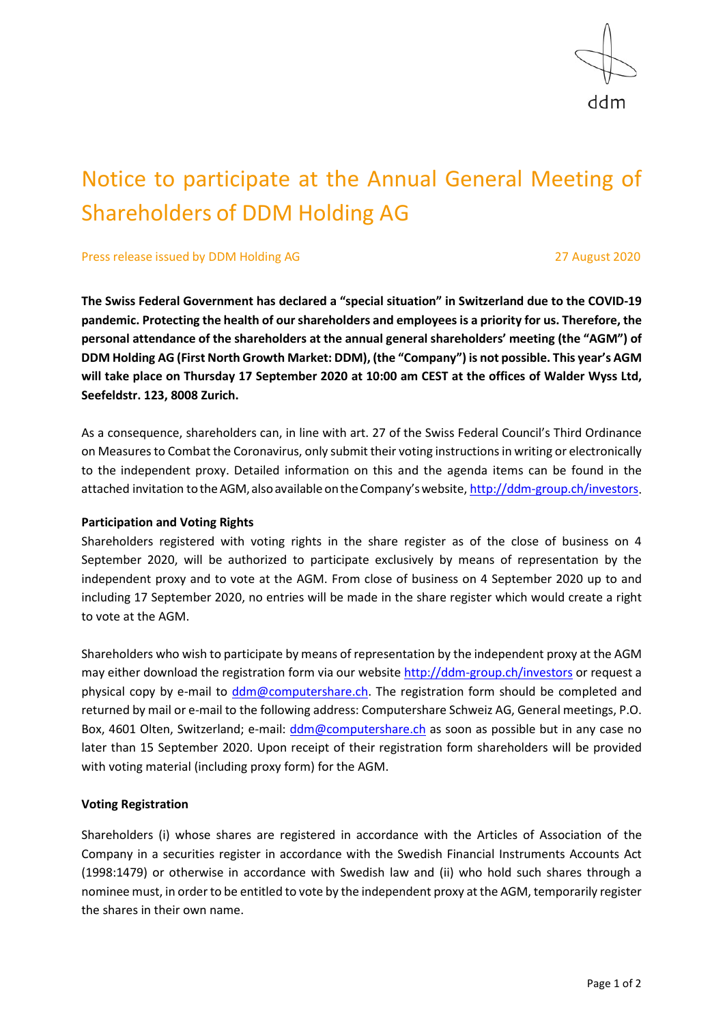

# Notice to participate at the Annual General Meeting of Shareholders of DDM Holding AG

Press release issued by DDM Holding AG 27 August 2020

**The Swiss Federal Government has declared a "special situation" in Switzerland due to the COVID-19 pandemic. Protecting the health of our shareholders and employees is a priority for us. Therefore, the personal attendance of the shareholders at the annual general shareholders' meeting (the "AGM") of DDM Holding AG (First North Growth Market: DDM), (the "Company") is not possible. This year's AGM will take place on Thursday 17 September 2020 at 10:00 am CEST at the offices of Walder Wyss Ltd, Seefeldstr. 123, 8008 Zurich.**

As a consequence, shareholders can, in line with art. 27 of the Swiss Federal Council's Third Ordinance on Measures to Combat the Coronavirus, only submit their voting instructions in writing or electronically to the independent proxy. Detailed information on this and the agenda items can be found in the attached invitation to the AGM, also available on the Company's website[, http://ddm-group.ch/investors.](http://ddm-group.ch/investors)

## **Participation and Voting Rights**

Shareholders registered with voting rights in the share register as of the close of business on 4 September 2020, will be authorized to participate exclusively by means of representation by the independent proxy and to vote at the AGM. From close of business on 4 September 2020 up to and including 17 September 2020, no entries will be made in the share register which would create a right to vote at the AGM.

Shareholders who wish to participate by means of representation by the independent proxy at the AGM may either download the registration form via our website<http://ddm-group.ch/investors> or request a physical copy by e-mail to [ddm@computershare.ch.](mailto:ddm@computershare.ch) The registration form should be completed and returned by mail or e-mail to the following address: Computershare Schweiz AG, General meetings, P.O. Box, 4601 Olten, Switzerland; e-mail: [ddm@computershare.ch](mailto:ddm@computershare.ch) as soon as possible but in any case no later than 15 September 2020. Upon receipt of their registration form shareholders will be provided with voting material (including proxy form) for the AGM.

## **Voting Registration**

Shareholders (i) whose shares are registered in accordance with the Articles of Association of the Company in a securities register in accordance with the Swedish Financial Instruments Accounts Act (1998:1479) or otherwise in accordance with Swedish law and (ii) who hold such shares through a nominee must, in order to be entitled to vote by the independent proxy at the AGM, temporarily register the shares in their own name.